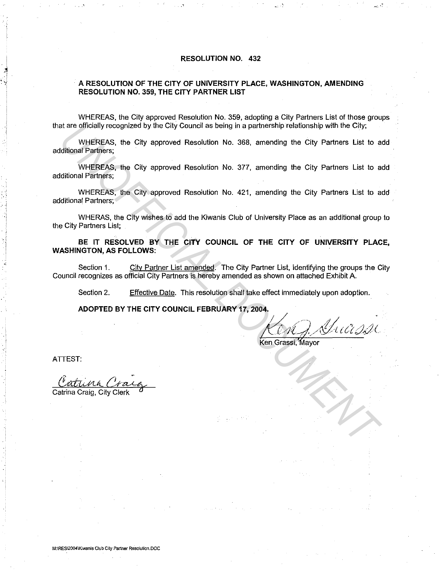### **RESOLUTION NO. 432**

### **A RESOLUTION OF THE CITY OF UNIVERSITY PLACE, WASHINGTON, AMENDING RESOLUTION NO. 359, THE CITY PARTNER LIST**

WHEREAS, the City approved Resolution No. 359, adopting a City Partners List of those groups that are officially recognized by the City Council as being in a partnership relationship with the City;

WHEREAS, the City approved Resolution No. 368, amending the City Partners List to add additional Partners;

WHEREAS, the City approved Resolution No. 377, amending the City Partners List to add additional Partners;

WHEREAS, the City approved Resolution No. 421, amending the City Partners List to add additional Partners;

WHERAS, the City wishes to add the Kiwanis Club of University Place as an additional group to the City Partners List;

**BE IT RESOLVED BY THE CITY COUNCIL OF THE CITY OF UNIVERSITY PLACE, WASHINGTON, AS FOLLOWS:**  at are officially recognized by the City Council as being in a partnership relationship with the City;<br>
WHEREAS, the City approved Resolution No. 368, amending the City Partners List to a<br>
UNICERAS, the City approved Resol

Section 1. City Partner List amended. The City Partner List, identifying the groups the City Council recognizes as official City Partners is hereby amended as shown on attached Exhibit A.

Section 2. Effective Date. This resolution shall take effect immediately upon adoption.

**ADOPTED BY THE CITY COUNCIL FEBRUARY 17, 2004.** 

<sup>I</sup>/ .--, ~,, . *A* /,~, ,, ./" \_ *1..-Z-:·* - *-"f \_,/1 /r* L *-J'f-,i/• /l t* tl ~d *(* 

.<br>Ken Grassi, Mayor

ATTEST:

Catrina Craig, City Clerk

**M:\RES\2004\Kiwanis Club City Partner Resolution.DOC**